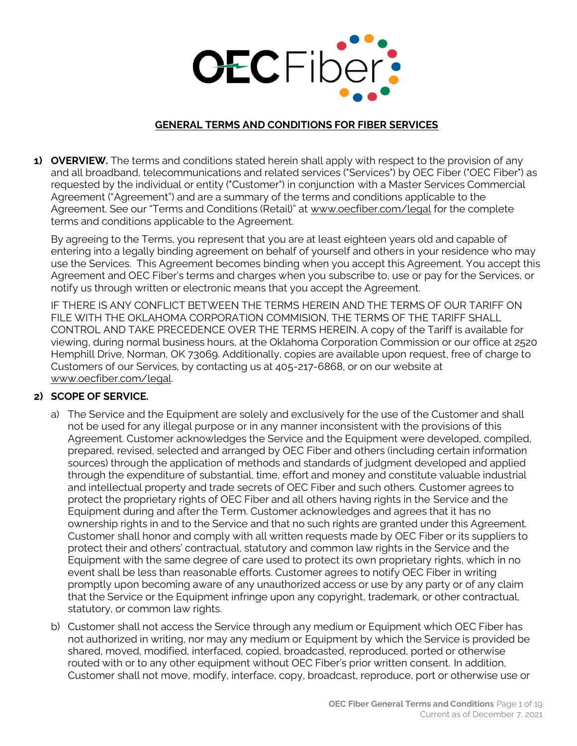

#### **GENERAL TERMS AND CONDITIONS FOR FIBER SERVICES**

**1) OVERVIEW.** The terms and conditions stated herein shall apply with respect to the provision of any and all broadband, telecommunications and related services ("Services") by OEC Fiber ("OEC Fiber") as requested by the individual or entity ("Customer") in conjunction with a Master Services Commercial Agreement ("Agreement") and are a summary of the terms and conditions applicable to the Agreement. See our "Terms and Conditions (Retail)" at www.oecfiber.com/legal for the complete terms and conditions applicable to the Agreement.

By agreeing to the Terms, you represent that you are at least eighteen years old and capable of entering into a legally binding agreement on behalf of yourself and others in your residence who may use the Services. This Agreement becomes binding when you accept this Agreement. You accept this Agreement and OEC Fiber's terms and charges when you subscribe to, use or pay for the Services, or notify us through written or electronic means that you accept the Agreement.

IF THERE IS ANY CONFLICT BETWEEN THE TERMS HEREIN AND THE TERMS OF OUR TARIFF ON FILE WITH THE OKLAHOMA CORPORATION COMMISION, THE TERMS OF THE TARIFF SHALL CONTROL AND TAKE PRECEDENCE OVER THE TERMS HEREIN. A copy of the Tariff is available for viewing, during normal business hours, at the Oklahoma Corporation Commission or our office at 2520 Hemphill Drive, Norman, OK 73069. Additionally, copies are available upon request, free of charge to Customers of our Services, by contacting us at 405-217-6868, or on our website at www.oecfiber.com/legal.

## **2) SCOPE OF SERVICE.**

- a) The Service and the Equipment are solely and exclusively for the use of the Customer and shall not be used for any illegal purpose or in any manner inconsistent with the provisions of this Agreement. Customer acknowledges the Service and the Equipment were developed, compiled, prepared, revised, selected and arranged by OEC Fiber and others (including certain information sources) through the application of methods and standards of judgment developed and applied through the expenditure of substantial, time, effort and money and constitute valuable industrial and intellectual property and trade secrets of OEC Fiber and such others. Customer agrees to protect the proprietary rights of OEC Fiber and all others having rights in the Service and the Equipment during and after the Term. Customer acknowledges and agrees that it has no ownership rights in and to the Service and that no such rights are granted under this Agreement. Customer shall honor and comply with all written requests made by OEC Fiber or its suppliers to protect their and others' contractual, statutory and common law rights in the Service and the Equipment with the same degree of care used to protect its own proprietary rights, which in no event shall be less than reasonable efforts. Customer agrees to notify OEC Fiber in writing promptly upon becoming aware of any unauthorized access or use by any party or of any claim that the Service or the Equipment infringe upon any copyright, trademark, or other contractual, statutory, or common law rights.
- b) Customer shall not access the Service through any medium or Equipment which OEC Fiber has not authorized in writing, nor may any medium or Equipment by which the Service is provided be shared, moved, modified, interfaced, copied, broadcasted, reproduced, ported or otherwise routed with or to any other equipment without OEC Fiber's prior written consent. In addition, Customer shall not move, modify, interface, copy, broadcast, reproduce, port or otherwise use or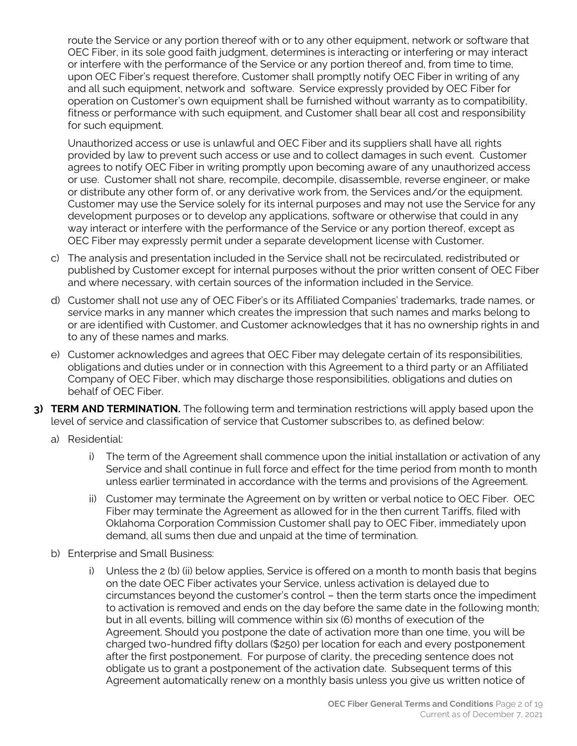route the Service or any portion thereof with or to any other equipment, network or software that OEC Fiber, in its sole good faith judgment, determines is interacting or interfering or may interact or interfere with the performance of the Service or any portion thereof and, from time to time, upon OEC Fiber's request therefore, Customer shall promptly notify OEC Fiber in writing of any and all such equipment, network and software. Service expressly provided by OEC Fiber for operation on Customer's own equipment shall be furnished without warranty as to compatibility, fitness or performance with such equipment, and Customer shall bear all cost and responsibility for such equipment.

Unauthorized access or use is unlawful and OEC Fiber and its suppliers shall have all rights provided by law to prevent such access or use and to collect damages in such event. Customer agrees to notify OEC Fiber in writing promptly upon becoming aware of any unauthorized access or use. Customer shall not share, recompile, decompile, disassemble, reverse engineer, or make or distribute any other form of, or any derivative work from, the Services and/or the equipment. Customer may use the Service solely for its internal purposes and may not use the Service for any development purposes or to develop any applications, software or otherwise that could in any way interact or interfere with the performance of the Service or any portion thereof, except as OEC Fiber may expressly permit under a separate development license with Customer.

- c) The analysis and presentation included in the Service shall not be recirculated, redistributed or published by Customer except for internal purposes without the prior written consent of OEC Fiber and where necessary, with certain sources of the information included in the Service.
- d) Customer shall not use any of OEC Fiber's or its Affiliated Companies' trademarks, trade names, or service marks in any manner which creates the impression that such names and marks belong to or are identified with Customer, and Customer acknowledges that it has no ownership rights in and to any of these names and marks.
- e) Customer acknowledges and agrees that OEC Fiber may delegate certain of its responsibilities, obligations and duties under or in connection with this Agreement to a third party or an Affiliated Company of OEC Fiber, which may discharge those responsibilities, obligations and duties on behalf of OEC Fiber.
- **3) TERM AND TERMINATION.** The following term and termination restrictions will apply based upon the level of service and classification of service that Customer subscribes to, as defined below:
	- a) Residential:
		- i) The term of the Agreement shall commence upon the initial installation or activation of any Service and shall continue in full force and effect for the time period from month to month unless earlier terminated in accordance with the terms and provisions of the Agreement.
		- ii) Customer may terminate the Agreement on by written or verbal notice to OEC Fiber. OEC Fiber may terminate the Agreement as allowed for in the then current Tariffs, filed with Oklahoma Corporation Commission Customer shall pay to OEC Fiber, immediately upon demand, all sums then due and unpaid at the time of termination.
	- b) Enterprise and Small Business:
		- i) Unless the 2 (b) (ii) below applies, Service is offered on a month to month basis that begins on the date OEC Fiber activates your Service, unless activation is delayed due to circumstances beyond the customer's control – then the term starts once the impediment to activation is removed and ends on the day before the same date in the following month; but in all events, billing will commence within six (6) months of execution of the Agreement. Should you postpone the date of activation more than one time, you will be charged two-hundred fifty dollars (\$250) per location for each and every postponement after the first postponement. For purpose of clarity, the preceding sentence does not obligate us to grant a postponement of the activation date. Subsequent terms of this Agreement automatically renew on a monthly basis unless you give us written notice of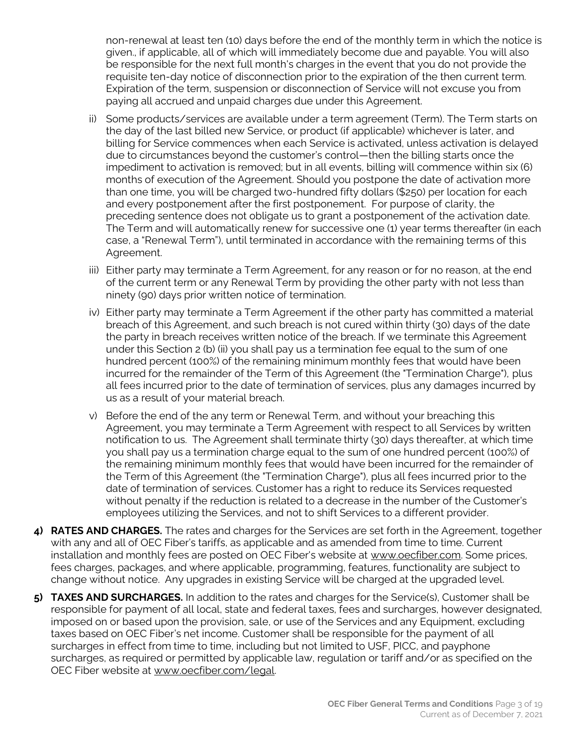non-renewal at least ten (10) days before the end of the monthly term in which the notice is given., if applicable, all of which will immediately become due and payable. You will also be responsible for the next full month's charges in the event that you do not provide the requisite ten-day notice of disconnection prior to the expiration of the then current term. Expiration of the term, suspension or disconnection of Service will not excuse you from paying all accrued and unpaid charges due under this Agreement.

- ii) Some products/services are available under a term agreement (Term). The Term starts on the day of the last billed new Service, or product (if applicable) whichever is later, and billing for Service commences when each Service is activated, unless activation is delayed due to circumstances beyond the customer's control—then the billing starts once the impediment to activation is removed; but in all events, billing will commence within six (6) months of execution of the Agreement. Should you postpone the date of activation more than one time, you will be charged two-hundred fifty dollars (\$250) per location for each and every postponement after the first postponement. For purpose of clarity, the preceding sentence does not obligate us to grant a postponement of the activation date. The Term and will automatically renew for successive one (1) year terms thereafter (in each case, a "Renewal Term"), until terminated in accordance with the remaining terms of this Agreement.
- iii) Either party may terminate a Term Agreement, for any reason or for no reason, at the end of the current term or any Renewal Term by providing the other party with not less than ninety (90) days prior written notice of termination.
- iv) Either party may terminate a Term Agreement if the other party has committed a material breach of this Agreement, and such breach is not cured within thirty (30) days of the date the party in breach receives written notice of the breach. If we terminate this Agreement under this Section 2 (b) (ii) you shall pay us a termination fee equal to the sum of one hundred percent (100%) of the remaining minimum monthly fees that would have been incurred for the remainder of the Term of this Agreement (the "Termination Charge"), plus all fees incurred prior to the date of termination of services, plus any damages incurred by us as a result of your material breach.
- v) Before the end of the any term or Renewal Term, and without your breaching this Agreement, you may terminate a Term Agreement with respect to all Services by written notification to us. The Agreement shall terminate thirty (30) days thereafter, at which time you shall pay us a termination charge equal to the sum of one hundred percent (100%) of the remaining minimum monthly fees that would have been incurred for the remainder of the Term of this Agreement (the "Termination Charge"), plus all fees incurred prior to the date of termination of services. Customer has a right to reduce its Services requested without penalty if the reduction is related to a decrease in the number of the Customer's employees utilizing the Services, and not to shift Services to a different provider.
- **4) RATES AND CHARGES.** The rates and charges for the Services are set forth in the Agreement, together with any and all of OEC Fiber's tariffs, as applicable and as amended from time to time. Current installation and monthly fees are posted on OEC Fiber's website at www.oecfiber.com. Some prices, fees charges, packages, and where applicable, programming, features, functionality are subject to change without notice. Any upgrades in existing Service will be charged at the upgraded level.
- **5) TAXES AND SURCHARGES.** In addition to the rates and charges for the Service(s), Customer shall be responsible for payment of all local, state and federal taxes, fees and surcharges, however designated, imposed on or based upon the provision, sale, or use of the Services and any Equipment, excluding taxes based on OEC Fiber's net income. Customer shall be responsible for the payment of all surcharges in effect from time to time, including but not limited to USF, PICC, and payphone surcharges, as required or permitted by applicable law, regulation or tariff and/or as specified on the OEC Fiber website at www.oecfiber.com/legal.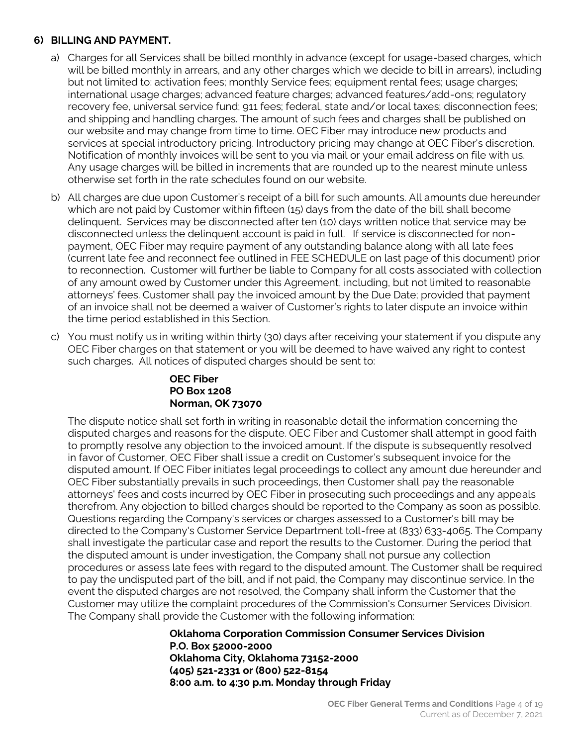#### **6) BILLING AND PAYMENT.**

- a) Charges for all Services shall be billed monthly in advance (except for usage-based charges, which will be billed monthly in arrears, and any other charges which we decide to bill in arrears), including but not limited to: activation fees; monthly Service fees; equipment rental fees; usage charges; international usage charges; advanced feature charges; advanced features/add-ons; regulatory recovery fee, universal service fund; 911 fees; federal, state and/or local taxes; disconnection fees; and shipping and handling charges. The amount of such fees and charges shall be published on our website and may change from time to time. OEC Fiber may introduce new products and services at special introductory pricing. Introductory pricing may change at OEC Fiber's discretion. Notification of monthly invoices will be sent to you via mail or your email address on file with us. Any usage charges will be billed in increments that are rounded up to the nearest minute unless otherwise set forth in the rate schedules found on our website.
- b) All charges are due upon Customer's receipt of a bill for such amounts. All amounts due hereunder which are not paid by Customer within fifteen (15) days from the date of the bill shall become delinquent. Services may be disconnected after ten (10) days written notice that service may be disconnected unless the delinquent account is paid in full. If service is disconnected for nonpayment, OEC Fiber may require payment of any outstanding balance along with all late fees (current late fee and reconnect fee outlined in FEE SCHEDULE on last page of this document) prior to reconnection. Customer will further be liable to Company for all costs associated with collection of any amount owed by Customer under this Agreement, including, but not limited to reasonable attorneys' fees. Customer shall pay the invoiced amount by the Due Date; provided that payment of an invoice shall not be deemed a waiver of Customer's rights to later dispute an invoice within the time period established in this Section.
- c) You must notify us in writing within thirty (30) days after receiving your statement if you dispute any OEC Fiber charges on that statement or you will be deemed to have waived any right to contest such charges. All notices of disputed charges should be sent to:

#### **OEC Fiber PO Box 1208 Norman, OK 73070**

The dispute notice shall set forth in writing in reasonable detail the information concerning the disputed charges and reasons for the dispute. OEC Fiber and Customer shall attempt in good faith to promptly resolve any objection to the invoiced amount. If the dispute is subsequently resolved in favor of Customer, OEC Fiber shall issue a credit on Customer's subsequent invoice for the disputed amount. If OEC Fiber initiates legal proceedings to collect any amount due hereunder and OEC Fiber substantially prevails in such proceedings, then Customer shall pay the reasonable attorneys' fees and costs incurred by OEC Fiber in prosecuting such proceedings and any appeals therefrom. Any objection to billed charges should be reported to the Company as soon as possible. Questions regarding the Company's services or charges assessed to a Customer's bill may be directed to the Company's Customer Service Department toll-free at (833) 633-4065. The Company shall investigate the particular case and report the results to the Customer. During the period that the disputed amount is under investigation, the Company shall not pursue any collection procedures or assess late fees with regard to the disputed amount. The Customer shall be required to pay the undisputed part of the bill, and if not paid, the Company may discontinue service. In the event the disputed charges are not resolved, the Company shall inform the Customer that the Customer may utilize the complaint procedures of the Commission's Consumer Services Division. The Company shall provide the Customer with the following information:

#### **Oklahoma Corporation Commission Consumer Services Division P.O. Box 52000-2000 Oklahoma City, Oklahoma 73152-2000 (405) 521-2331 or (800) 522-8154 8:00 a.m. to 4:30 p.m. Monday through Friday**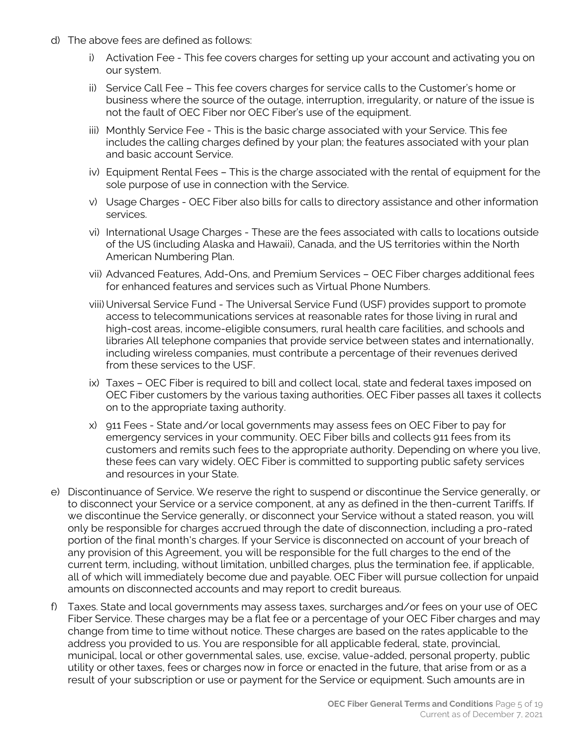- d) The above fees are defined as follows:
	- i) Activation Fee This fee covers charges for setting up your account and activating you on our system.
	- ii) Service Call Fee This fee covers charges for service calls to the Customer's home or business where the source of the outage, interruption, irregularity, or nature of the issue is not the fault of OEC Fiber nor OEC Fiber's use of the equipment.
	- iii) Monthly Service Fee This is the basic charge associated with your Service. This fee includes the calling charges defined by your plan; the features associated with your plan and basic account Service.
	- iv) Equipment Rental Fees This is the charge associated with the rental of equipment for the sole purpose of use in connection with the Service.
	- v) Usage Charges OEC Fiber also bills for calls to directory assistance and other information services.
	- vi) International Usage Charges These are the fees associated with calls to locations outside of the US (including Alaska and Hawaii), Canada, and the US territories within the North American Numbering Plan.
	- vii) Advanced Features, Add-Ons, and Premium Services OEC Fiber charges additional fees for enhanced features and services such as Virtual Phone Numbers.
	- viii) Universal Service Fund The Universal Service Fund (USF) provides support to promote access to telecommunications services at reasonable rates for those living in rural and high-cost areas, income-eligible consumers, rural health care facilities, and schools and libraries All telephone companies that provide service between states and internationally, including wireless companies, must contribute a percentage of their revenues derived from these services to the USF.
	- ix) Taxes OEC Fiber is required to bill and collect local, state and federal taxes imposed on OEC Fiber customers by the various taxing authorities. OEC Fiber passes all taxes it collects on to the appropriate taxing authority.
	- x) 911 Fees State and/or local governments may assess fees on OEC Fiber to pay for emergency services in your community. OEC Fiber bills and collects 911 fees from its customers and remits such fees to the appropriate authority. Depending on where you live, these fees can vary widely. OEC Fiber is committed to supporting public safety services and resources in your State.
- e) Discontinuance of Service. We reserve the right to suspend or discontinue the Service generally, or to disconnect your Service or a service component, at any as defined in the then-current Tariffs. If we discontinue the Service generally, or disconnect your Service without a stated reason, you will only be responsible for charges accrued through the date of disconnection, including a pro-rated portion of the final month's charges. If your Service is disconnected on account of your breach of any provision of this Agreement, you will be responsible for the full charges to the end of the current term, including, without limitation, unbilled charges, plus the termination fee, if applicable, all of which will immediately become due and payable. OEC Fiber will pursue collection for unpaid amounts on disconnected accounts and may report to credit bureaus.
- f) Taxes. State and local governments may assess taxes, surcharges and/or fees on your use of OEC Fiber Service. These charges may be a flat fee or a percentage of your OEC Fiber charges and may change from time to time without notice. These charges are based on the rates applicable to the address you provided to us. You are responsible for all applicable federal, state, provincial, municipal, local or other governmental sales, use, excise, value-added, personal property, public utility or other taxes, fees or charges now in force or enacted in the future, that arise from or as a result of your subscription or use or payment for the Service or equipment. Such amounts are in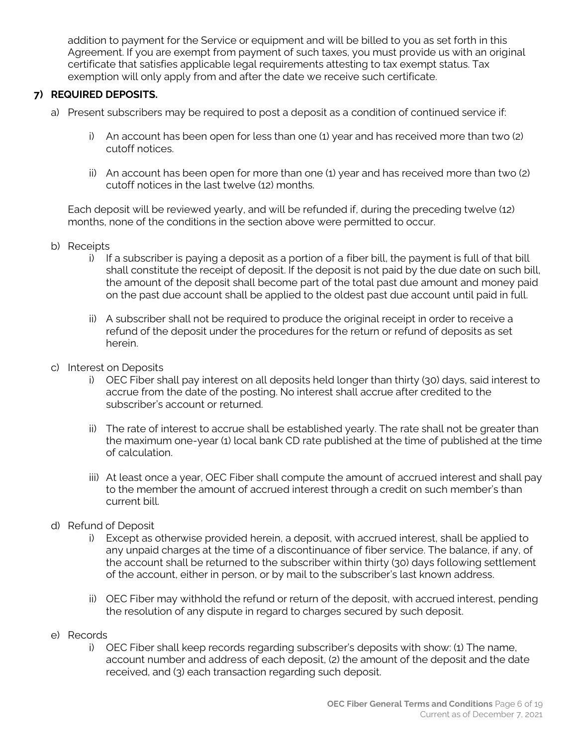addition to payment for the Service or equipment and will be billed to you as set forth in this Agreement. If you are exempt from payment of such taxes, you must provide us with an original certificate that satisfies applicable legal requirements attesting to tax exempt status. Tax exemption will only apply from and after the date we receive such certificate.

## **7) REQUIRED DEPOSITS.**

- a) Present subscribers may be required to post a deposit as a condition of continued service if:
	- i) An account has been open for less than one (1) year and has received more than two (2) cutoff notices.
	- ii) An account has been open for more than one (1) year and has received more than two (2) cutoff notices in the last twelve (12) months.

Each deposit will be reviewed yearly, and will be refunded if, during the preceding twelve (12) months, none of the conditions in the section above were permitted to occur.

- b) Receipts
	- i) If a subscriber is paying a deposit as a portion of a fiber bill, the payment is full of that bill shall constitute the receipt of deposit. If the deposit is not paid by the due date on such bill, the amount of the deposit shall become part of the total past due amount and money paid on the past due account shall be applied to the oldest past due account until paid in full.
	- ii) A subscriber shall not be required to produce the original receipt in order to receive a refund of the deposit under the procedures for the return or refund of deposits as set herein.
- c) Interest on Deposits
	- i) OEC Fiber shall pay interest on all deposits held longer than thirty (30) days, said interest to accrue from the date of the posting. No interest shall accrue after credited to the subscriber's account or returned.
	- ii) The rate of interest to accrue shall be established yearly. The rate shall not be greater than the maximum one-year (1) local bank CD rate published at the time of published at the time of calculation.
	- iii) At least once a year, OEC Fiber shall compute the amount of accrued interest and shall pay to the member the amount of accrued interest through a credit on such member's than current bill.
- d) Refund of Deposit
	- i) Except as otherwise provided herein, a deposit, with accrued interest, shall be applied to any unpaid charges at the time of a discontinuance of fiber service. The balance, if any, of the account shall be returned to the subscriber within thirty (30) days following settlement of the account, either in person, or by mail to the subscriber's last known address.
	- ii) OEC Fiber may withhold the refund or return of the deposit, with accrued interest, pending the resolution of any dispute in regard to charges secured by such deposit.
- e) Records
	- i) OEC Fiber shall keep records regarding subscriber's deposits with show: (1) The name, account number and address of each deposit, (2) the amount of the deposit and the date received, and (3) each transaction regarding such deposit.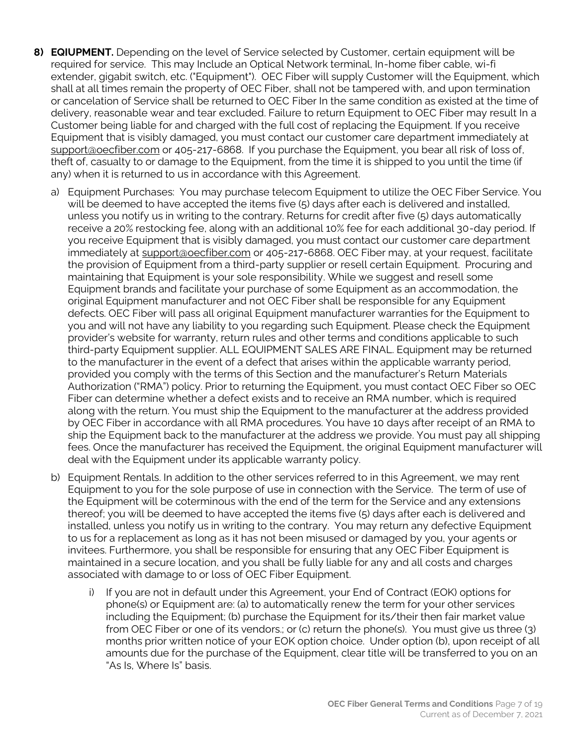- **8) EQIUPMENT.** Depending on the level of Service selected by Customer, certain equipment will be required for service. This may Include an Optical Network terminal, In-home fiber cable, wi-fi extender, gigabit switch, etc. ("Equipment"). OEC Fiber will supply Customer will the Equipment, which shall at all times remain the property of OEC Fiber, shall not be tampered with, and upon termination or cancelation of Service shall be returned to OEC Fiber In the same condition as existed at the time of delivery, reasonable wear and tear excluded. Failure to return Equipment to OEC Fiber may result In a Customer being liable for and charged with the full cost of replacing the Equipment. If you receive Equipment that is visibly damaged, you must contact our customer care department immediately at support@oecfiber.com or 405-217-6868. If you purchase the Equipment, you bear all risk of loss of, theft of, casualty to or damage to the Equipment, from the time it is shipped to you until the time (if any) when it is returned to us in accordance with this Agreement.
	- a) Equipment Purchases: You may purchase telecom Equipment to utilize the OEC Fiber Service. You will be deemed to have accepted the items five (5) days after each is delivered and installed, unless you notify us in writing to the contrary. Returns for credit after five (5) days automatically receive a 20% restocking fee, along with an additional 10% fee for each additional 30-day period. If you receive Equipment that is visibly damaged, you must contact our customer care department immediately at support@oecfiber.com or 405-217-6868. OEC Fiber may, at your request, facilitate the provision of Equipment from a third-party supplier or resell certain Equipment. Procuring and maintaining that Equipment is your sole responsibility. While we suggest and resell some Equipment brands and facilitate your purchase of some Equipment as an accommodation, the original Equipment manufacturer and not OEC Fiber shall be responsible for any Equipment defects. OEC Fiber will pass all original Equipment manufacturer warranties for the Equipment to you and will not have any liability to you regarding such Equipment. Please check the Equipment provider's website for warranty, return rules and other terms and conditions applicable to such third-party Equipment supplier. ALL EQUIPMENT SALES ARE FINAL. Equipment may be returned to the manufacturer in the event of a defect that arises within the applicable warranty period, provided you comply with the terms of this Section and the manufacturer's Return Materials Authorization ("RMA") policy. Prior to returning the Equipment, you must contact OEC Fiber so OEC Fiber can determine whether a defect exists and to receive an RMA number, which is required along with the return. You must ship the Equipment to the manufacturer at the address provided by OEC Fiber in accordance with all RMA procedures. You have 10 days after receipt of an RMA to ship the Equipment back to the manufacturer at the address we provide. You must pay all shipping fees. Once the manufacturer has received the Equipment, the original Equipment manufacturer will deal with the Equipment under its applicable warranty policy.
	- b) Equipment Rentals. In addition to the other services referred to in this Agreement, we may rent Equipment to you for the sole purpose of use in connection with the Service. The term of use of the Equipment will be coterminous with the end of the term for the Service and any extensions thereof; you will be deemed to have accepted the items five (5) days after each is delivered and installed, unless you notify us in writing to the contrary. You may return any defective Equipment to us for a replacement as long as it has not been misused or damaged by you, your agents or invitees. Furthermore, you shall be responsible for ensuring that any OEC Fiber Equipment is maintained in a secure location, and you shall be fully liable for any and all costs and charges associated with damage to or loss of OEC Fiber Equipment.
		- i) If you are not in default under this Agreement, your End of Contract (EOK) options for phone(s) or Equipment are: (a) to automatically renew the term for your other services including the Equipment; (b) purchase the Equipment for its/their then fair market value from OEC Fiber or one of its vendors.; or (c) return the phone(s). You must give us three (3) months prior written notice of your EOK option choice. Under option (b), upon receipt of all amounts due for the purchase of the Equipment, clear title will be transferred to you on an "As Is, Where Is" basis.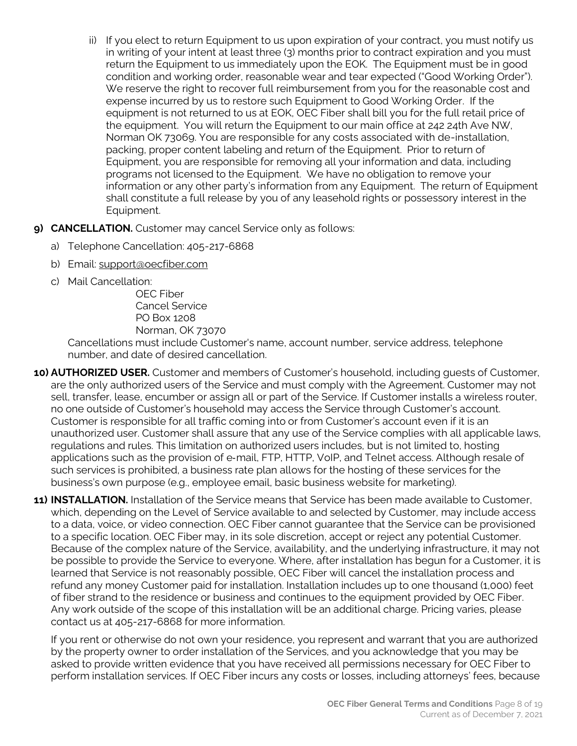- ii) If you elect to return Equipment to us upon expiration of your contract, you must notify us in writing of your intent at least three (3) months prior to contract expiration and you must return the Equipment to us immediately upon the EOK. The Equipment must be in good condition and working order, reasonable wear and tear expected ("Good Working Order"). We reserve the right to recover full reimbursement from you for the reasonable cost and expense incurred by us to restore such Equipment to Good Working Order. If the equipment is not returned to us at EOK, OEC Fiber shall bill you for the full retail price of the equipment. You will return the Equipment to our main office at 242 24th Ave NW, Norman OK 73069. You are responsible for any costs associated with de-installation, packing, proper content labeling and return of the Equipment. Prior to return of Equipment, you are responsible for removing all your information and data, including programs not licensed to the Equipment. We have no obligation to remove your information or any other party's information from any Equipment. The return of Equipment shall constitute a full release by you of any leasehold rights or possessory interest in the Equipment.
- **9) CANCELLATION.** Customer may cancel Service only as follows:
	- a) Telephone Cancellation: 405-217-6868
	- b) Email: support@oecfiber.com
	- c) Mail Cancellation:

OEC Fiber Cancel Service PO Box 1208 Norman, OK 73070

Cancellations must include Customer's name, account number, service address, telephone number, and date of desired cancellation.

- **10) AUTHORIZED USER.** Customer and members of Customer's household, including guests of Customer, are the only authorized users of the Service and must comply with the Agreement. Customer may not sell, transfer, lease, encumber or assign all or part of the Service. If Customer installs a wireless router, no one outside of Customer's household may access the Service through Customer's account. Customer is responsible for all traffic coming into or from Customer's account even if it is an unauthorized user. Customer shall assure that any use of the Service complies with all applicable laws, regulations and rules. This limitation on authorized users includes, but is not limited to, hosting applications such as the provision of e‐mail, FTP, HTTP, VoIP, and Telnet access. Although resale of such services is prohibited, a business rate plan allows for the hosting of these services for the business's own purpose (e.g., employee email, basic business website for marketing).
- **11) INSTALLATION.** Installation of the Service means that Service has been made available to Customer, which, depending on the Level of Service available to and selected by Customer, may include access to a data, voice, or video connection. OEC Fiber cannot guarantee that the Service can be provisioned to a specific location. OEC Fiber may, in its sole discretion, accept or reject any potential Customer. Because of the complex nature of the Service, availability, and the underlying infrastructure, it may not be possible to provide the Service to everyone. Where, after installation has begun for a Customer, it is learned that Service is not reasonably possible, OEC Fiber will cancel the installation process and refund any money Customer paid for installation. Installation includes up to one thousand (1,000) feet of fiber strand to the residence or business and continues to the equipment provided by OEC Fiber. Any work outside of the scope of this installation will be an additional charge. Pricing varies, please contact us at 405-217-6868 for more information.

If you rent or otherwise do not own your residence, you represent and warrant that you are authorized by the property owner to order installation of the Services, and you acknowledge that you may be asked to provide written evidence that you have received all permissions necessary for OEC Fiber to perform installation services. If OEC Fiber incurs any costs or losses, including attorneys' fees, because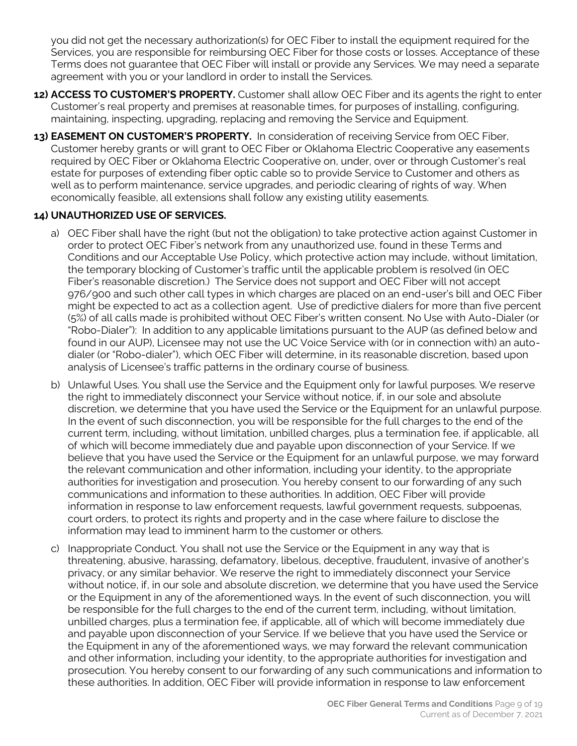you did not get the necessary authorization(s) for OEC Fiber to install the equipment required for the Services, you are responsible for reimbursing OEC Fiber for those costs or losses. Acceptance of these Terms does not guarantee that OEC Fiber will install or provide any Services. We may need a separate agreement with you or your landlord in order to install the Services.

- **12) ACCESS TO CUSTOMER'S PROPERTY.** Customer shall allow OEC Fiber and its agents the right to enter Customer's real property and premises at reasonable times, for purposes of installing, configuring, maintaining, inspecting, upgrading, replacing and removing the Service and Equipment.
- **13) EASEMENT ON CUSTOMER'S PROPERTY.** In consideration of receiving Service from OEC Fiber, Customer hereby grants or will grant to OEC Fiber or Oklahoma Electric Cooperative any easements required by OEC Fiber or Oklahoma Electric Cooperative on, under, over or through Customer's real estate for purposes of extending fiber optic cable so to provide Service to Customer and others as well as to perform maintenance, service upgrades, and periodic clearing of rights of way. When economically feasible, all extensions shall follow any existing utility easements.

## **14) UNAUTHORIZED USE OF SERVICES.**

- a) OEC Fiber shall have the right (but not the obligation) to take protective action against Customer in order to protect OEC Fiber's network from any unauthorized use, found in these Terms and Conditions and our Acceptable Use Policy, which protective action may include, without limitation, the temporary blocking of Customer's traffic until the applicable problem is resolved (in OEC Fiber's reasonable discretion.) The Service does not support and OEC Fiber will not accept 976/900 and such other call types in which charges are placed on an end-user's bill and OEC Fiber might be expected to act as a collection agent. Use of predictive dialers for more than five percent (5%) of all calls made is prohibited without OEC Fiber's written consent. No Use with Auto-Dialer (or "Robo-Dialer"): In addition to any applicable limitations pursuant to the AUP (as defined below and found in our AUP), Licensee may not use the UC Voice Service with (or in connection with) an autodialer (or "Robo-dialer"), which OEC Fiber will determine, in its reasonable discretion, based upon analysis of Licensee's traffic patterns in the ordinary course of business.
- b) Unlawful Uses. You shall use the Service and the Equipment only for lawful purposes. We reserve the right to immediately disconnect your Service without notice, if, in our sole and absolute discretion, we determine that you have used the Service or the Equipment for an unlawful purpose. In the event of such disconnection, you will be responsible for the full charges to the end of the current term, including, without limitation, unbilled charges, plus a termination fee, if applicable, all of which will become immediately due and payable upon disconnection of your Service. If we believe that you have used the Service or the Equipment for an unlawful purpose, we may forward the relevant communication and other information, including your identity, to the appropriate authorities for investigation and prosecution. You hereby consent to our forwarding of any such communications and information to these authorities. In addition, OEC Fiber will provide information in response to law enforcement requests, lawful government requests, subpoenas, court orders, to protect its rights and property and in the case where failure to disclose the information may lead to imminent harm to the customer or others.
- c) Inappropriate Conduct. You shall not use the Service or the Equipment in any way that is threatening, abusive, harassing, defamatory, libelous, deceptive, fraudulent, invasive of another's privacy, or any similar behavior. We reserve the right to immediately disconnect your Service without notice, if, in our sole and absolute discretion, we determine that you have used the Service or the Equipment in any of the aforementioned ways. In the event of such disconnection, you will be responsible for the full charges to the end of the current term, including, without limitation, unbilled charges, plus a termination fee, if applicable, all of which will become immediately due and payable upon disconnection of your Service. If we believe that you have used the Service or the Equipment in any of the aforementioned ways, we may forward the relevant communication and other information, including your identity, to the appropriate authorities for investigation and prosecution. You hereby consent to our forwarding of any such communications and information to these authorities. In addition, OEC Fiber will provide information in response to law enforcement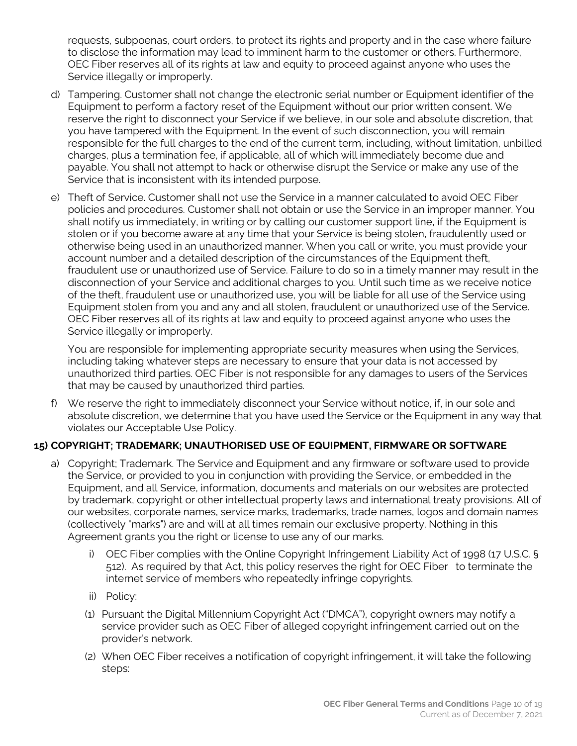requests, subpoenas, court orders, to protect its rights and property and in the case where failure to disclose the information may lead to imminent harm to the customer or others. Furthermore, OEC Fiber reserves all of its rights at law and equity to proceed against anyone who uses the Service illegally or improperly.

- d) Tampering. Customer shall not change the electronic serial number or Equipment identifier of the Equipment to perform a factory reset of the Equipment without our prior written consent. We reserve the right to disconnect your Service if we believe, in our sole and absolute discretion, that you have tampered with the Equipment. In the event of such disconnection, you will remain responsible for the full charges to the end of the current term, including, without limitation, unbilled charges, plus a termination fee, if applicable, all of which will immediately become due and payable. You shall not attempt to hack or otherwise disrupt the Service or make any use of the Service that is inconsistent with its intended purpose.
- e) Theft of Service. Customer shall not use the Service in a manner calculated to avoid OEC Fiber policies and procedures. Customer shall not obtain or use the Service in an improper manner. You shall notify us immediately, in writing or by calling our customer support line, if the Equipment is stolen or if you become aware at any time that your Service is being stolen, fraudulently used or otherwise being used in an unauthorized manner. When you call or write, you must provide your account number and a detailed description of the circumstances of the Equipment theft, fraudulent use or unauthorized use of Service. Failure to do so in a timely manner may result in the disconnection of your Service and additional charges to you. Until such time as we receive notice of the theft, fraudulent use or unauthorized use, you will be liable for all use of the Service using Equipment stolen from you and any and all stolen, fraudulent or unauthorized use of the Service. OEC Fiber reserves all of its rights at law and equity to proceed against anyone who uses the Service illegally or improperly.

You are responsible for implementing appropriate security measures when using the Services, including taking whatever steps are necessary to ensure that your data is not accessed by unauthorized third parties. OEC Fiber is not responsible for any damages to users of the Services that may be caused by unauthorized third parties.

f) We reserve the right to immediately disconnect your Service without notice, if, in our sole and absolute discretion, we determine that you have used the Service or the Equipment in any way that violates our Acceptable Use Policy.

## **15) COPYRIGHT; TRADEMARK; UNAUTHORISED USE OF EQUIPMENT, FIRMWARE OR SOFTWARE**

- a) Copyright; Trademark. The Service and Equipment and any firmware or software used to provide the Service, or provided to you in conjunction with providing the Service, or embedded in the Equipment, and all Service, information, documents and materials on our websites are protected by trademark, copyright or other intellectual property laws and international treaty provisions. All of our websites, corporate names, service marks, trademarks, trade names, logos and domain names (collectively "marks") are and will at all times remain our exclusive property. Nothing in this Agreement grants you the right or license to use any of our marks.
	- i) OEC Fiber complies with the Online Copyright Infringement Liability Act of 1998 (17 U.S.C. § 512). As required by that Act, this policy reserves the right for OEC Fiber to terminate the internet service of members who repeatedly infringe copyrights.
	- ii) Policy:
	- (1) Pursuant the Digital Millennium Copyright Act ("DMCA"), copyright owners may notify a service provider such as OEC Fiber of alleged copyright infringement carried out on the provider's network.
	- (2) When OEC Fiber receives a notification of copyright infringement, it will take the following steps: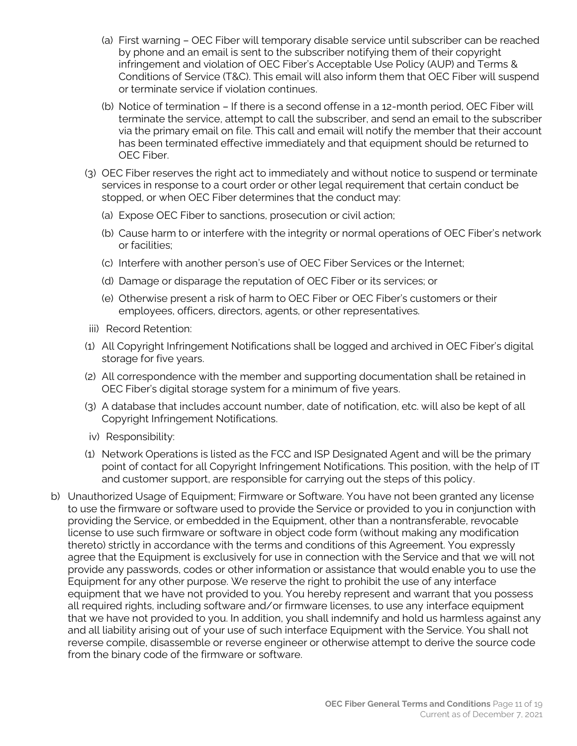- (a) First warning OEC Fiber will temporary disable service until subscriber can be reached by phone and an email is sent to the subscriber notifying them of their copyright infringement and violation of OEC Fiber's Acceptable Use Policy (AUP) and Terms & Conditions of Service (T&C). This email will also inform them that OEC Fiber will suspend or terminate service if violation continues.
- (b) Notice of termination If there is a second offense in a 12-month period, OEC Fiber will terminate the service, attempt to call the subscriber, and send an email to the subscriber via the primary email on file. This call and email will notify the member that their account has been terminated effective immediately and that equipment should be returned to OEC Fiber.
- (3) OEC Fiber reserves the right act to immediately and without notice to suspend or terminate services in response to a court order or other legal requirement that certain conduct be stopped, or when OEC Fiber determines that the conduct may:
	- (a) Expose OEC Fiber to sanctions, prosecution or civil action;
	- (b) Cause harm to or interfere with the integrity or normal operations of OEC Fiber's network or facilities;
	- (c) Interfere with another person's use of OEC Fiber Services or the Internet;
	- (d) Damage or disparage the reputation of OEC Fiber or its services; or
	- (e) Otherwise present a risk of harm to OEC Fiber or OEC Fiber's customers or their employees, officers, directors, agents, or other representatives.
- iii) Record Retention:
- (1) All Copyright Infringement Notifications shall be logged and archived in OEC Fiber's digital storage for five years.
- (2) All correspondence with the member and supporting documentation shall be retained in OEC Fiber's digital storage system for a minimum of five years.
- (3) A database that includes account number, date of notification, etc. will also be kept of all Copyright Infringement Notifications.
- iv) Responsibility:
- (1) Network Operations is listed as the FCC and ISP Designated Agent and will be the primary point of contact for all Copyright Infringement Notifications. This position, with the help of IT and customer support, are responsible for carrying out the steps of this policy.
- b) Unauthorized Usage of Equipment; Firmware or Software. You have not been granted any license to use the firmware or software used to provide the Service or provided to you in conjunction with providing the Service, or embedded in the Equipment, other than a nontransferable, revocable license to use such firmware or software in object code form (without making any modification thereto) strictly in accordance with the terms and conditions of this Agreement. You expressly agree that the Equipment is exclusively for use in connection with the Service and that we will not provide any passwords, codes or other information or assistance that would enable you to use the Equipment for any other purpose. We reserve the right to prohibit the use of any interface equipment that we have not provided to you. You hereby represent and warrant that you possess all required rights, including software and/or firmware licenses, to use any interface equipment that we have not provided to you. In addition, you shall indemnify and hold us harmless against any and all liability arising out of your use of such interface Equipment with the Service. You shall not reverse compile, disassemble or reverse engineer or otherwise attempt to derive the source code from the binary code of the firmware or software.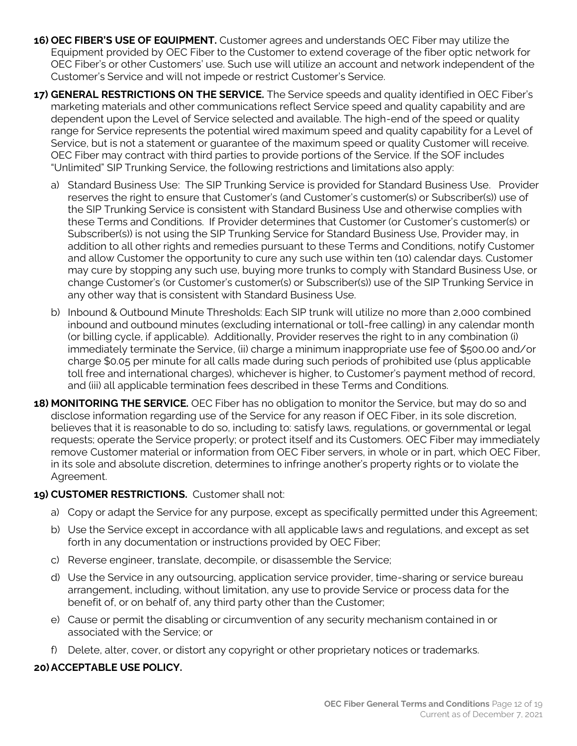- **16) OEC FIBER'S USE OF EQUIPMENT.** Customer agrees and understands OEC Fiber may utilize the Equipment provided by OEC Fiber to the Customer to extend coverage of the fiber optic network for OEC Fiber's or other Customers' use. Such use will utilize an account and network independent of the Customer's Service and will not impede or restrict Customer's Service.
- **17) GENERAL RESTRICTIONS ON THE SERVICE.** The Service speeds and quality identified in OEC Fiber's marketing materials and other communications reflect Service speed and quality capability and are dependent upon the Level of Service selected and available. The high-end of the speed or quality range for Service represents the potential wired maximum speed and quality capability for a Level of Service, but is not a statement or guarantee of the maximum speed or quality Customer will receive. OEC Fiber may contract with third parties to provide portions of the Service. If the SOF includes "Unlimited" SIP Trunking Service, the following restrictions and limitations also apply:
	- a) Standard Business Use: The SIP Trunking Service is provided for Standard Business Use. Provider reserves the right to ensure that Customer's (and Customer's customer(s) or Subscriber(s)) use of the SIP Trunking Service is consistent with Standard Business Use and otherwise complies with these Terms and Conditions. If Provider determines that Customer (or Customer's customer(s) or Subscriber(s)) is not using the SIP Trunking Service for Standard Business Use, Provider may, in addition to all other rights and remedies pursuant to these Terms and Conditions, notify Customer and allow Customer the opportunity to cure any such use within ten (10) calendar days. Customer may cure by stopping any such use, buying more trunks to comply with Standard Business Use, or change Customer's (or Customer's customer(s) or Subscriber(s)) use of the SIP Trunking Service in any other way that is consistent with Standard Business Use.
	- b) Inbound & Outbound Minute Thresholds: Each SIP trunk will utilize no more than 2,000 combined inbound and outbound minutes (excluding international or toll-free calling) in any calendar month (or billing cycle, if applicable). Additionally, Provider reserves the right to in any combination (i) immediately terminate the Service, (ii) charge a minimum inappropriate use fee of \$500.00 and/or charge \$0.05 per minute for all calls made during such periods of prohibited use (plus applicable toll free and international charges), whichever is higher, to Customer's payment method of record, and (iii) all applicable termination fees described in these Terms and Conditions.
- **18) MONITORING THE SERVICE.** OEC Fiber has no obligation to monitor the Service, but may do so and disclose information regarding use of the Service for any reason if OEC Fiber, in its sole discretion, believes that it is reasonable to do so, including to: satisfy laws, regulations, or governmental or legal requests; operate the Service properly; or protect itself and its Customers. OEC Fiber may immediately remove Customer material or information from OEC Fiber servers, in whole or in part, which OEC Fiber, in its sole and absolute discretion, determines to infringe another's property rights or to violate the Agreement.

## **19) CUSTOMER RESTRICTIONS.** Customer shall not:

- a) Copy or adapt the Service for any purpose, except as specifically permitted under this Agreement;
- b) Use the Service except in accordance with all applicable laws and regulations, and except as set forth in any documentation or instructions provided by OEC Fiber;
- c) Reverse engineer, translate, decompile, or disassemble the Service;
- d) Use the Service in any outsourcing, application service provider, time-sharing or service bureau arrangement, including, without limitation, any use to provide Service or process data for the benefit of, or on behalf of, any third party other than the Customer;
- e) Cause or permit the disabling or circumvention of any security mechanism contained in or associated with the Service; or
- f) Delete, alter, cover, or distort any copyright or other proprietary notices or trademarks.

## **20)ACCEPTABLE USE POLICY.**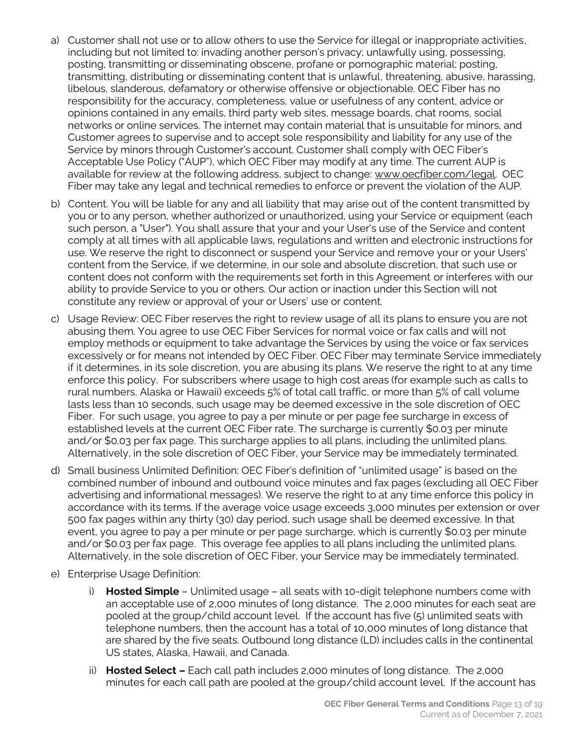- a) Customer shall not use or to allow others to use the Service for illegal or inappropriate activities, including but not limited to: invading another person's privacy; unlawfully using, possessing, posting, transmitting or disseminating obscene, profane or pornographic material; posting, transmitting, distributing or disseminating content that is unlawful, threatening, abusive, harassing, libelous, slanderous, defamatory or otherwise offensive or objectionable. OEC Fiber has no responsibility for the accuracy, completeness, value or usefulness of any content, advice or opinions contained in any emails, third party web sites, message boards, chat rooms, social networks or online services. The internet may contain material that is unsuitable for minors, and Customer agrees to supervise and to accept sole responsibility and liability for any use of the Service by minors through Customer's account. Customer shall comply with OEC Fiber's Acceptable Use Policy ("AUP"), which OEC Fiber may modify at any time. The current AUP is available for review at the following address, subject to change: www.oecfiber.com/legal. OEC Fiber may take any legal and technical remedies to enforce or prevent the violation of the AUP.
- b) Content. You will be liable for any and all liability that may arise out of the content transmitted by you or to any person, whether authorized or unauthorized, using your Service or equipment (each such person, a "User"). You shall assure that your and your User's use of the Service and content comply at all times with all applicable laws, regulations and written and electronic instructions for use. We reserve the right to disconnect or suspend your Service and remove your or your Users' content from the Service, if we determine, in our sole and absolute discretion, that such use or content does not conform with the requirements set forth in this Agreement or interferes with our ability to provide Service to you or others. Our action or inaction under this Section will not constitute any review or approval of your or Users' use or content.
- c) Usage Review: OEC Fiber reserves the right to review usage of all its plans to ensure you are not abusing them. You agree to use OEC Fiber Services for normal voice or fax calls and will not employ methods or equipment to take advantage the Services by using the voice or fax services excessively or for means not intended by OEC Fiber. OEC Fiber may terminate Service immediately if it determines, in its sole discretion, you are abusing its plans. We reserve the right to at any time enforce this policy. For subscribers where usage to high cost areas (for example such as calls to rural numbers, Alaska or Hawaii) exceeds 5% of total call traffic, or more than 5% of call volume lasts less than 10 seconds, such usage may be deemed excessive in the sole discretion of OEC Fiber. For such usage, you agree to pay a per minute or per page fee surcharge in excess of established levels at the current OEC Fiber rate. The surcharge is currently \$0.03 per minute and/or \$0.03 per fax page. This surcharge applies to all plans, including the unlimited plans. Alternatively, in the sole discretion of OEC Fiber, your Service may be immediately terminated.
- d) Small business Unlimited Definition: OEC Fiber's definition of "unlimited usage" is based on the combined number of inbound and outbound voice minutes and fax pages (excluding all OEC Fiber advertising and informational messages). We reserve the right to at any time enforce this policy in accordance with its terms. If the average voice usage exceeds 3,000 minutes per extension or over 500 fax pages within any thirty (30) day period, such usage shall be deemed excessive. In that event, you agree to pay a per minute or per page surcharge, which is currently \$0.03 per minute and/or \$0.03 per fax page. This overage fee applies to all plans including the unlimited plans. Alternatively, in the sole discretion of OEC Fiber, your Service may be immediately terminated.
- e) Enterprise Usage Definition:
	- i) **Hosted Simple**  Unlimited usage all seats with 10-digit telephone numbers come with an acceptable use of 2,000 minutes of long distance. The 2,000 minutes for each seat are pooled at the group/child account level. If the account has five (5) unlimited seats with telephone numbers, then the account has a total of 10,000 minutes of long distance that are shared by the five seats. Outbound long distance (LD) includes calls in the continental US states, Alaska, Hawaii, and Canada.
	- ii) **Hosted Select –** Each call path includes 2,000 minutes of long distance. The 2,000 minutes for each call path are pooled at the group/child account level. If the account has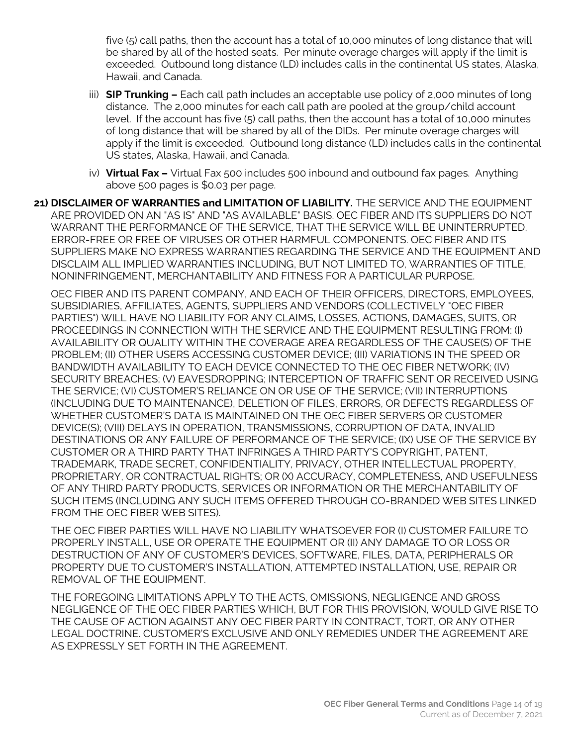five (5) call paths, then the account has a total of 10,000 minutes of long distance that will be shared by all of the hosted seats. Per minute overage charges will apply if the limit is exceeded. Outbound long distance (LD) includes calls in the continental US states, Alaska, Hawaii, and Canada.

- iii) **SIP Trunking –** Each call path includes an acceptable use policy of 2,000 minutes of long distance. The 2,000 minutes for each call path are pooled at the group/child account level. If the account has five (5) call paths, then the account has a total of 10,000 minutes of long distance that will be shared by all of the DIDs. Per minute overage charges will apply if the limit is exceeded. Outbound long distance (LD) includes calls in the continental US states, Alaska, Hawaii, and Canada.
- iv) **Virtual Fax –** Virtual Fax 500 includes 500 inbound and outbound fax pages. Anything above 500 pages is \$0.03 per page.
- **21) DISCLAIMER OF WARRANTIES and LIMITATION OF LIABILITY.** THE SERVICE AND THE EQUIPMENT ARE PROVIDED ON AN "AS IS" AND "AS AVAILABLE" BASIS. OEC FIBER AND ITS SUPPLIERS DO NOT WARRANT THE PERFORMANCE OF THE SERVICE, THAT THE SERVICE WILL BE UNINTERRUPTED, ERROR-FREE OR FREE OF VIRUSES OR OTHER HARMFUL COMPONENTS. OEC FIBER AND ITS SUPPLIERS MAKE NO EXPRESS WARRANTIES REGARDING THE SERVICE AND THE EQUIPMENT AND DISCLAIM ALL IMPLIED WARRANTIES INCLUDING, BUT NOT LIMITED TO, WARRANTIES OF TITLE, NONINFRINGEMENT, MERCHANTABILITY AND FITNESS FOR A PARTICULAR PURPOSE.

OEC FIBER AND ITS PARENT COMPANY, AND EACH OF THEIR OFFICERS, DIRECTORS, EMPLOYEES, SUBSIDIARIES, AFFILIATES, AGENTS, SUPPLIERS AND VENDORS (COLLECTIVELY "OEC FIBER PARTIES") WILL HAVE NO LIABILITY FOR ANY CLAIMS, LOSSES, ACTIONS, DAMAGES, SUITS, OR PROCEEDINGS IN CONNECTION WITH THE SERVICE AND THE EQUIPMENT RESULTING FROM: (I) AVAILABILITY OR QUALITY WITHIN THE COVERAGE AREA REGARDLESS OF THE CAUSE(S) OF THE PROBLEM; (II) OTHER USERS ACCESSING CUSTOMER DEVICE; (III) VARIATIONS IN THE SPEED OR BANDWIDTH AVAILABILITY TO EACH DEVICE CONNECTED TO THE OEC FIBER NETWORK; (IV) SECURITY BREACHES; (V) EAVESDROPPING; INTERCEPTION OF TRAFFIC SENT OR RECEIVED USING THE SERVICE; (VI) CUSTOMER'S RELIANCE ON OR USE OF THE SERVICE; (VII) INTERRUPTIONS (INCLUDING DUE TO MAINTENANCE), DELETION OF FILES, ERRORS, OR DEFECTS REGARDLESS OF WHETHER CUSTOMER'S DATA IS MAINTAINED ON THE OEC FIBER SERVERS OR CUSTOMER DEVICE(S); (VIII) DELAYS IN OPERATION, TRANSMISSIONS, CORRUPTION OF DATA, INVALID DESTINATIONS OR ANY FAILURE OF PERFORMANCE OF THE SERVICE; (IX) USE OF THE SERVICE BY CUSTOMER OR A THIRD PARTY THAT INFRINGES A THIRD PARTY'S COPYRIGHT, PATENT, TRADEMARK, TRADE SECRET, CONFIDENTIALITY, PRIVACY, OTHER INTELLECTUAL PROPERTY, PROPRIETARY, OR CONTRACTUAL RIGHTS; OR (X) ACCURACY, COMPLETENESS, AND USEFULNESS OF ANY THIRD PARTY PRODUCTS, SERVICES OR INFORMATION OR THE MERCHANTABILITY OF SUCH ITEMS (INCLUDING ANY SUCH ITEMS OFFERED THROUGH CO-BRANDED WEB SITES LINKED FROM THE OEC FIBER WEB SITES).

THE OEC FIBER PARTIES WILL HAVE NO LIABILITY WHATSOEVER FOR (I) CUSTOMER FAILURE TO PROPERLY INSTALL, USE OR OPERATE THE EQUIPMENT OR (II) ANY DAMAGE TO OR LOSS OR DESTRUCTION OF ANY OF CUSTOMER'S DEVICES, SOFTWARE, FILES, DATA, PERIPHERALS OR PROPERTY DUE TO CUSTOMER'S INSTALLATION, ATTEMPTED INSTALLATION, USE, REPAIR OR REMOVAL OF THE EQUIPMENT.

THE FOREGOING LIMITATIONS APPLY TO THE ACTS, OMISSIONS, NEGLIGENCE AND GROSS NEGLIGENCE OF THE OEC FIBER PARTIES WHICH, BUT FOR THIS PROVISION, WOULD GIVE RISE TO THE CAUSE OF ACTION AGAINST ANY OEC FIBER PARTY IN CONTRACT, TORT, OR ANY OTHER LEGAL DOCTRINE. CUSTOMER'S EXCLUSIVE AND ONLY REMEDIES UNDER THE AGREEMENT ARE AS EXPRESSLY SET FORTH IN THE AGREEMENT.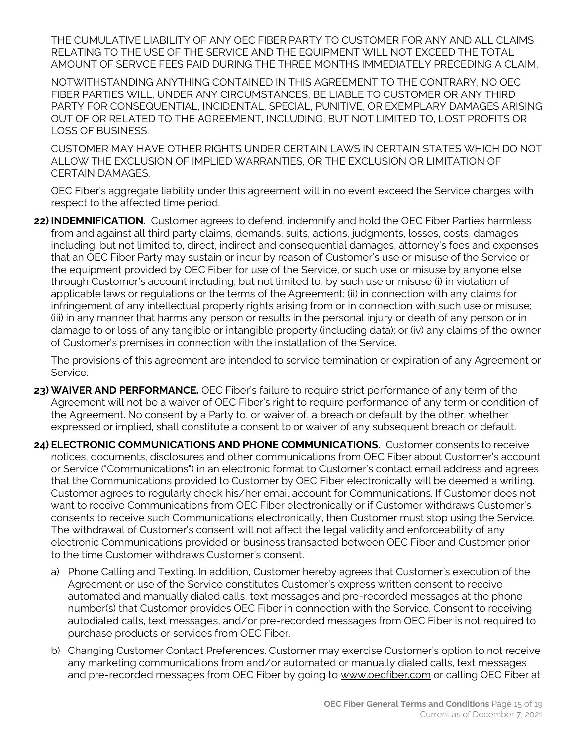THE CUMULATIVE LIABILITY OF ANY OEC FIBER PARTY TO CUSTOMER FOR ANY AND ALL CLAIMS RELATING TO THE USE OF THE SERVICE AND THE EQUIPMENT WILL NOT EXCEED THE TOTAL AMOUNT OF SERVCE FEES PAID DURING THE THREE MONTHS IMMEDIATELY PRECEDING A CLAIM.

NOTWITHSTANDING ANYTHING CONTAINED IN THIS AGREEMENT TO THE CONTRARY, NO OEC FIBER PARTIES WILL, UNDER ANY CIRCUMSTANCES, BE LIABLE TO CUSTOMER OR ANY THIRD PARTY FOR CONSEQUENTIAL, INCIDENTAL, SPECIAL, PUNITIVE, OR EXEMPLARY DAMAGES ARISING OUT OF OR RELATED TO THE AGREEMENT, INCLUDING, BUT NOT LIMITED TO, LOST PROFITS OR LOSS OF BUSINESS.

CUSTOMER MAY HAVE OTHER RIGHTS UNDER CERTAIN LAWS IN CERTAIN STATES WHICH DO NOT ALLOW THE EXCLUSION OF IMPLIED WARRANTIES, OR THE EXCLUSION OR LIMITATION OF CERTAIN DAMAGES.

OEC Fiber's aggregate liability under this agreement will in no event exceed the Service charges with respect to the affected time period.

**22) INDEMNIFICATION.** Customer agrees to defend, indemnify and hold the OEC Fiber Parties harmless from and against all third party claims, demands, suits, actions, judgments, losses, costs, damages including, but not limited to, direct, indirect and consequential damages, attorney's fees and expenses that an OEC Fiber Party may sustain or incur by reason of Customer's use or misuse of the Service or the equipment provided by OEC Fiber for use of the Service, or such use or misuse by anyone else through Customer's account including, but not limited to, by such use or misuse (i) in violation of applicable laws or regulations or the terms of the Agreement; (ii) in connection with any claims for infringement of any intellectual property rights arising from or in connection with such use or misuse; (iii) in any manner that harms any person or results in the personal injury or death of any person or in damage to or loss of any tangible or intangible property (including data); or (iv) any claims of the owner of Customer's premises in connection with the installation of the Service.

The provisions of this agreement are intended to service termination or expiration of any Agreement or Service.

- **23) WAIVER AND PERFORMANCE.** OEC Fiber's failure to require strict performance of any term of the Agreement will not be a waiver of OEC Fiber's right to require performance of any term or condition of the Agreement. No consent by a Party to, or waiver of, a breach or default by the other, whether expressed or implied, shall constitute a consent to or waiver of any subsequent breach or default.
- **24) ELECTRONIC COMMUNICATIONS AND PHONE COMMUNICATIONS.** Customer consents to receive notices, documents, disclosures and other communications from OEC Fiber about Customer's account or Service ("Communications") in an electronic format to Customer's contact email address and agrees that the Communications provided to Customer by OEC Fiber electronically will be deemed a writing. Customer agrees to regularly check his/her email account for Communications. If Customer does not want to receive Communications from OEC Fiber electronically or if Customer withdraws Customer's consents to receive such Communications electronically, then Customer must stop using the Service. The withdrawal of Customer's consent will not affect the legal validity and enforceability of any electronic Communications provided or business transacted between OEC Fiber and Customer prior to the time Customer withdraws Customer's consent.
	- a) Phone Calling and Texting. In addition, Customer hereby agrees that Customer's execution of the Agreement or use of the Service constitutes Customer's express written consent to receive automated and manually dialed calls, text messages and pre-recorded messages at the phone number(s) that Customer provides OEC Fiber in connection with the Service. Consent to receiving autodialed calls, text messages, and/or pre-recorded messages from OEC Fiber is not required to purchase products or services from OEC Fiber.
	- b) Changing Customer Contact Preferences. Customer may exercise Customer's option to not receive any marketing communications from and/or automated or manually dialed calls, text messages and pre-recorded messages from OEC Fiber by going to www.oecfiber.com or calling OEC Fiber at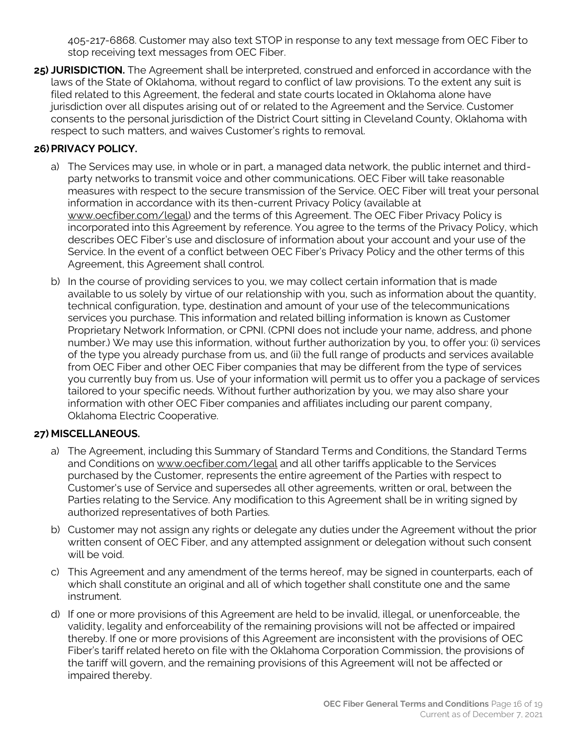405-217-6868. Customer may also text STOP in response to any text message from OEC Fiber to stop receiving text messages from OEC Fiber.

**25) JURISDICTION.** The Agreement shall be interpreted, construed and enforced in accordance with the laws of the State of Oklahoma, without regard to conflict of law provisions. To the extent any suit is filed related to this Agreement, the federal and state courts located in Oklahoma alone have jurisdiction over all disputes arising out of or related to the Agreement and the Service. Customer consents to the personal jurisdiction of the District Court sitting in Cleveland County, Oklahoma with respect to such matters, and waives Customer's rights to removal.

#### **26)PRIVACY POLICY.**

- a) The Services may use, in whole or in part, a managed data network, the public internet and thirdparty networks to transmit voice and other communications. OEC Fiber will take reasonable measures with respect to the secure transmission of the Service. OEC Fiber will treat your personal information in accordance with its then-current Privacy Policy (available at www.oecfiber.com/legal) and the terms of this Agreement. The OEC Fiber Privacy Policy is incorporated into this Agreement by reference. You agree to the terms of the Privacy Policy, which describes OEC Fiber's use and disclosure of information about your account and your use of the Service. In the event of a conflict between OEC Fiber's Privacy Policy and the other terms of this Agreement, this Agreement shall control.
- b) In the course of providing services to you, we may collect certain information that is made available to us solely by virtue of our relationship with you, such as information about the quantity, technical configuration, type, destination and amount of your use of the telecommunications services you purchase. This information and related billing information is known as Customer Proprietary Network Information, or CPNI. (CPNI does not include your name, address, and phone number.) We may use this information, without further authorization by you, to offer you: (i) services of the type you already purchase from us, and (ii) the full range of products and services available from OEC Fiber and other OEC Fiber companies that may be different from the type of services you currently buy from us. Use of your information will permit us to offer you a package of services tailored to your specific needs. Without further authorization by you, we may also share your information with other OEC Fiber companies and affiliates including our parent company, Oklahoma Electric Cooperative.

## **27) MISCELLANEOUS.**

- a) The Agreement, including this Summary of Standard Terms and Conditions, the Standard Terms and Conditions on www.oecfiber.com/legal and all other tariffs applicable to the Services purchased by the Customer, represents the entire agreement of the Parties with respect to Customer's use of Service and supersedes all other agreements, written or oral, between the Parties relating to the Service. Any modification to this Agreement shall be in writing signed by authorized representatives of both Parties.
- b) Customer may not assign any rights or delegate any duties under the Agreement without the prior written consent of OEC Fiber, and any attempted assignment or delegation without such consent will be void.
- c) This Agreement and any amendment of the terms hereof, may be signed in counterparts, each of which shall constitute an original and all of which together shall constitute one and the same instrument.
- d) If one or more provisions of this Agreement are held to be invalid, illegal, or unenforceable, the validity, legality and enforceability of the remaining provisions will not be affected or impaired thereby. If one or more provisions of this Agreement are inconsistent with the provisions of OEC Fiber's tariff related hereto on file with the Oklahoma Corporation Commission, the provisions of the tariff will govern, and the remaining provisions of this Agreement will not be affected or impaired thereby.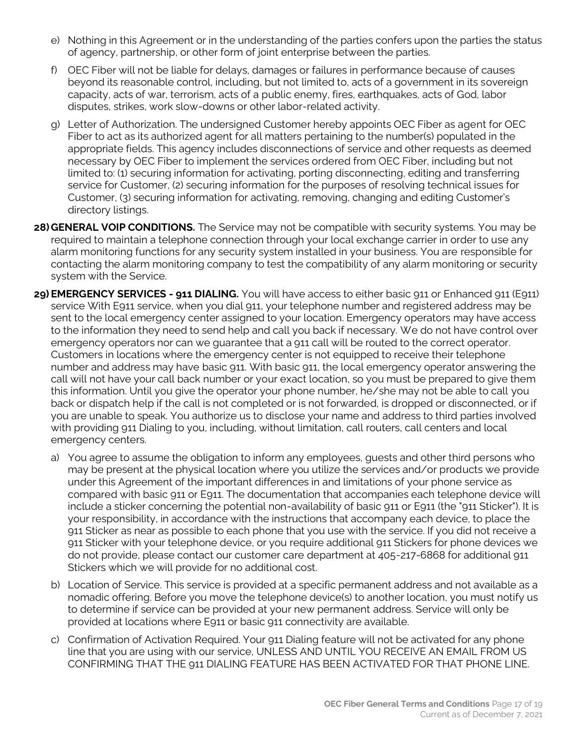- e) Nothing in this Agreement or in the understanding of the parties confers upon the parties the status of agency, partnership, or other form of joint enterprise between the parties.
- f) OEC Fiber will not be liable for delays, damages or failures in performance because of causes beyond its reasonable control, including, but not limited to, acts of a government in its sovereign capacity, acts of war, terrorism, acts of a public enemy, fires, earthquakes, acts of God, labor disputes, strikes, work slow-downs or other labor-related activity.
- g) Letter of Authorization. The undersigned Customer hereby appoints OEC Fiber as agent for OEC Fiber to act as its authorized agent for all matters pertaining to the number(s) populated in the appropriate fields. This agency includes disconnections of service and other requests as deemed necessary by OEC Fiber to implement the services ordered from OEC Fiber, including but not limited to: (1) securing information for activating, porting disconnecting, editing and transferring service for Customer, (2) securing information for the purposes of resolving technical issues for Customer, (3) securing information for activating, removing, changing and editing Customer's directory listings.
- **28) GENERAL VOIP CONDITIONS.** The Service may not be compatible with security systems. You may be required to maintain a telephone connection through your local exchange carrier in order to use any alarm monitoring functions for any security system installed in your business. You are responsible for contacting the alarm monitoring company to test the compatibility of any alarm monitoring or security system with the Service.
- **29) EMERGENCY SERVICES - 911 DIALING.** You will have access to either basic 911 or Enhanced 911 (E911) service With E911 service, when you dial 911, your telephone number and registered address may be sent to the local emergency center assigned to your location. Emergency operators may have access to the information they need to send help and call you back if necessary. We do not have control over emergency operators nor can we guarantee that a 911 call will be routed to the correct operator. Customers in locations where the emergency center is not equipped to receive their telephone number and address may have basic 911. With basic 911, the local emergency operator answering the call will not have your call back number or your exact location, so you must be prepared to give them this information. Until you give the operator your phone number, he/she may not be able to call you back or dispatch help if the call is not completed or is not forwarded, is dropped or disconnected, or if you are unable to speak. You authorize us to disclose your name and address to third parties involved with providing 911 Dialing to you, including, without limitation, call routers, call centers and local emergency centers.
	- a) You agree to assume the obligation to inform any employees, guests and other third persons who may be present at the physical location where you utilize the services and/or products we provide under this Agreement of the important differences in and limitations of your phone service as compared with basic 911 or E911. The documentation that accompanies each telephone device will include a sticker concerning the potential non-availability of basic 911 or E911 (the "911 Sticker"). It is your responsibility, in accordance with the instructions that accompany each device, to place the 911 Sticker as near as possible to each phone that you use with the service. If you did not receive a 911 Sticker with your telephone device, or you require additional 911 Stickers for phone devices we do not provide, please contact our customer care department at 405-217-6868 for additional 911 Stickers which we will provide for no additional cost.
	- b) Location of Service. This service is provided at a specific permanent address and not available as a nomadic offering. Before you move the telephone device(s) to another location, you must notify us to determine if service can be provided at your new permanent address. Service will only be provided at locations where E911 or basic 911 connectivity are available.
	- c) Confirmation of Activation Required. Your 911 Dialing feature will not be activated for any phone line that you are using with our service, UNLESS AND UNTIL YOU RECEIVE AN EMAIL FROM US CONFIRMING THAT THE 911 DIALING FEATURE HAS BEEN ACTIVATED FOR THAT PHONE LINE.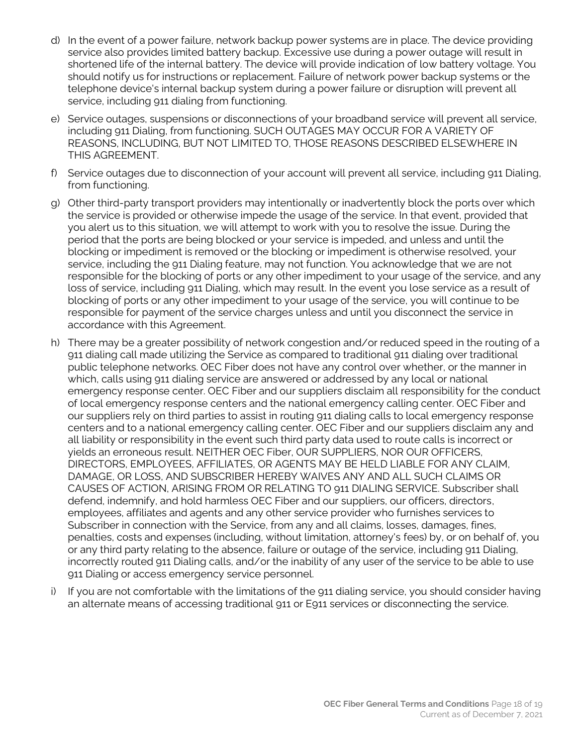- d) In the event of a power failure, network backup power systems are in place. The device providing service also provides limited battery backup. Excessive use during a power outage will result in shortened life of the internal battery. The device will provide indication of low battery voltage. You should notify us for instructions or replacement. Failure of network power backup systems or the telephone device's internal backup system during a power failure or disruption will prevent all service, including 911 dialing from functioning.
- e) Service outages, suspensions or disconnections of your broadband service will prevent all service, including 911 Dialing, from functioning. SUCH OUTAGES MAY OCCUR FOR A VARIETY OF REASONS, INCLUDING, BUT NOT LIMITED TO, THOSE REASONS DESCRIBED ELSEWHERE IN THIS AGREEMENT.
- f) Service outages due to disconnection of your account will prevent all service, including 911 Dialing, from functioning.
- g) Other third-party transport providers may intentionally or inadvertently block the ports over which the service is provided or otherwise impede the usage of the service. In that event, provided that you alert us to this situation, we will attempt to work with you to resolve the issue. During the period that the ports are being blocked or your service is impeded, and unless and until the blocking or impediment is removed or the blocking or impediment is otherwise resolved, your service, including the 911 Dialing feature, may not function. You acknowledge that we are not responsible for the blocking of ports or any other impediment to your usage of the service, and any loss of service, including 911 Dialing, which may result. In the event you lose service as a result of blocking of ports or any other impediment to your usage of the service, you will continue to be responsible for payment of the service charges unless and until you disconnect the service in accordance with this Agreement.
- h) There may be a greater possibility of network congestion and/or reduced speed in the routing of a 911 dialing call made utilizing the Service as compared to traditional 911 dialing over traditional public telephone networks. OEC Fiber does not have any control over whether, or the manner in which, calls using 911 dialing service are answered or addressed by any local or national emergency response center. OEC Fiber and our suppliers disclaim all responsibility for the conduct of local emergency response centers and the national emergency calling center. OEC Fiber and our suppliers rely on third parties to assist in routing 911 dialing calls to local emergency response centers and to a national emergency calling center. OEC Fiber and our suppliers disclaim any and all liability or responsibility in the event such third party data used to route calls is incorrect or yields an erroneous result. NEITHER OEC Fiber, OUR SUPPLIERS, NOR OUR OFFICERS, DIRECTORS, EMPLOYEES, AFFILIATES, OR AGENTS MAY BE HELD LIABLE FOR ANY CLAIM, DAMAGE, OR LOSS, AND SUBSCRIBER HEREBY WAIVES ANY AND ALL SUCH CLAIMS OR CAUSES OF ACTION, ARISING FROM OR RELATING TO 911 DIALING SERVICE. Subscriber shall defend, indemnify, and hold harmless OEC Fiber and our suppliers, our officers, directors, employees, affiliates and agents and any other service provider who furnishes services to Subscriber in connection with the Service, from any and all claims, losses, damages, fines, penalties, costs and expenses (including, without limitation, attorney's fees) by, or on behalf of, you or any third party relating to the absence, failure or outage of the service, including 911 Dialing, incorrectly routed 911 Dialing calls, and/or the inability of any user of the service to be able to use 911 Dialing or access emergency service personnel.
- i) If you are not comfortable with the limitations of the 911 dialing service, you should consider having an alternate means of accessing traditional 911 or E911 services or disconnecting the service.